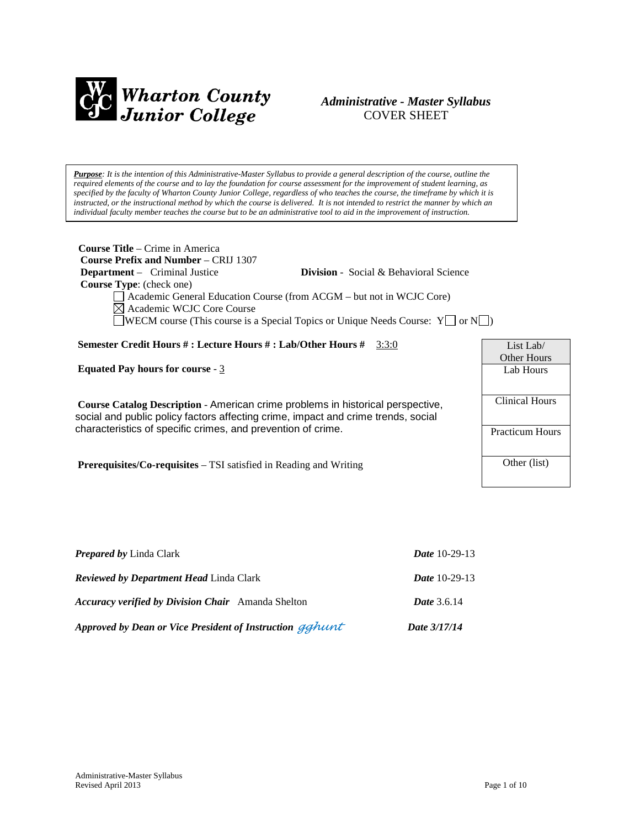

#### *Administrative - Master Syllabus*  COVER SHEET

*Purpose: It is the intention of this Administrative-Master Syllabus to provide a general description of the course, outline the required elements of the course and to lay the foundation for course assessment for the improvement of student learning, as specified by the faculty of Wharton County Junior College, regardless of who teaches the course, the timeframe by which it is*  instructed, or the instructional method by which the course is delivered. It is not intended to restrict the manner by which an *individual faculty member teaches the course but to be an administrative tool to aid in the improvement of instruction.*

| <b>Course Title</b> – Crime in America<br><b>Course Prefix and Number – CRIJ 1307</b><br><b>Department</b> – Criminal Justice<br><b>Division</b> - Social & Behavioral Science<br><b>Course Type:</b> (check one)<br>Academic General Education Course (from ACGM – but not in WCJC Core)<br>$\boxtimes$ Academic WCJC Core Course<br>$\Box$ WECM course (This course is a Special Topics or Unique Needs Course: Y $\Box$ or N $\Box$ ) |                                 |
|------------------------------------------------------------------------------------------------------------------------------------------------------------------------------------------------------------------------------------------------------------------------------------------------------------------------------------------------------------------------------------------------------------------------------------------|---------------------------------|
| <b>Semester Credit Hours #: Lecture Hours #: Lab/Other Hours #</b> 3:3:0                                                                                                                                                                                                                                                                                                                                                                 | List Lab/<br><b>Other Hours</b> |
| <b>Equated Pay hours for course - 3</b>                                                                                                                                                                                                                                                                                                                                                                                                  | Lab Hours                       |
| Course Catalog Description - American crime problems in historical perspective,<br>social and public policy factors affecting crime, impact and crime trends, social                                                                                                                                                                                                                                                                     | Clinical Hours                  |
| characteristics of specific crimes, and prevention of crime.                                                                                                                                                                                                                                                                                                                                                                             | <b>Practicum Hours</b>          |
| <b>Prerequisites/Co-requisites</b> – TSI satisfied in Reading and Writing                                                                                                                                                                                                                                                                                                                                                                | Other (list)                    |

| Approved by Dean or Vice President of Instruction gghunt  | Date 3/17/14           |
|-----------------------------------------------------------|------------------------|
| <b>Accuracy verified by Division Chair</b> Amanda Shelton | <b>Date</b> 3.6.14     |
| <b>Reviewed by Department Head Linda Clark</b>            | <b>Date</b> 10-29-13   |
| <b>Prepared by Linda Clark</b>                            | <i>Date</i> $10-29-13$ |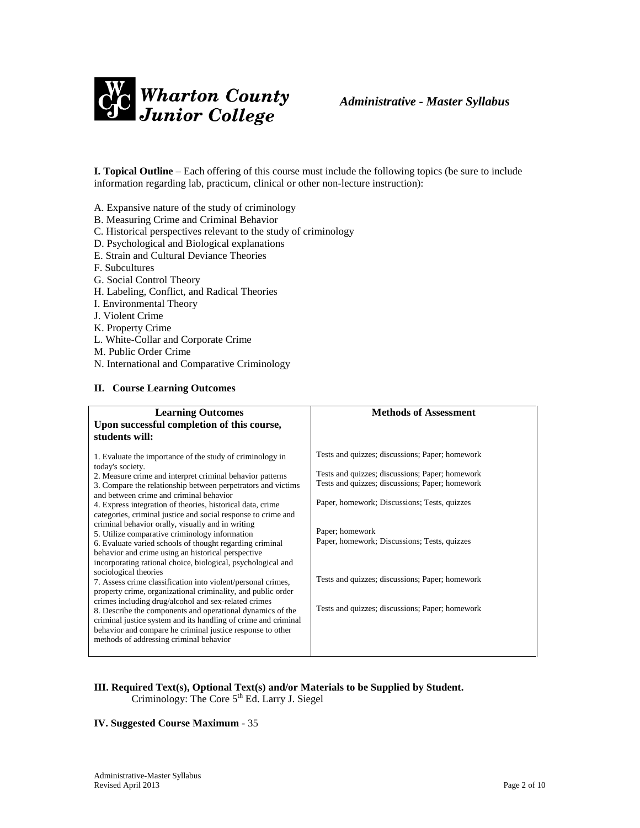

**I. Topical Outline** – Each offering of this course must include the following topics (be sure to include information regarding lab, practicum, clinical or other non-lecture instruction):

A. Expansive nature of the study of criminology

- B. Measuring Crime and Criminal Behavior
- C. Historical perspectives relevant to the study of criminology
- D. Psychological and Biological explanations
- E. Strain and Cultural Deviance Theories
- F. Subcultures
- G. Social Control Theory
- H. Labeling, Conflict, and Radical Theories
- I. Environmental Theory
- J. Violent Crime
- K. Property Crime
- L. White-Collar and Corporate Crime
- M. Public Order Crime
- N. International and Comparative Criminology

#### **II. Course Learning Outcomes**

| <b>Learning Outcomes</b>                                                                                                                                                                                                                                                                                                                                                                                                                                                                                                                                                                                                                                                                                                                                                                                                                                                                                                                                                                                                                                                                                                                | <b>Methods of Assessment</b>                                                                                                                                                                                                                                                                                                                                                   |
|-----------------------------------------------------------------------------------------------------------------------------------------------------------------------------------------------------------------------------------------------------------------------------------------------------------------------------------------------------------------------------------------------------------------------------------------------------------------------------------------------------------------------------------------------------------------------------------------------------------------------------------------------------------------------------------------------------------------------------------------------------------------------------------------------------------------------------------------------------------------------------------------------------------------------------------------------------------------------------------------------------------------------------------------------------------------------------------------------------------------------------------------|--------------------------------------------------------------------------------------------------------------------------------------------------------------------------------------------------------------------------------------------------------------------------------------------------------------------------------------------------------------------------------|
| Upon successful completion of this course,<br>students will:                                                                                                                                                                                                                                                                                                                                                                                                                                                                                                                                                                                                                                                                                                                                                                                                                                                                                                                                                                                                                                                                            |                                                                                                                                                                                                                                                                                                                                                                                |
| 1. Evaluate the importance of the study of criminology in<br>today's society.<br>2. Measure crime and interpret criminal behavior patterns<br>3. Compare the relationship between perpetrators and victims<br>and between crime and criminal behavior<br>4. Express integration of theories, historical data, crime<br>categories, criminal justice and social response to crime and<br>criminal behavior orally, visually and in writing<br>5. Utilize comparative criminology information<br>6. Evaluate varied schools of thought regarding criminal<br>behavior and crime using an historical perspective<br>incorporating rational choice, biological, psychological and<br>sociological theories<br>7. Assess crime classification into violent/personal crimes,<br>property crime, organizational criminality, and public order<br>crimes including drug/alcohol and sex-related crimes<br>8. Describe the components and operational dynamics of the<br>criminal justice system and its handling of crime and criminal<br>behavior and compare he criminal justice response to other<br>methods of addressing criminal behavior | Tests and quizzes; discussions; Paper; homework<br>Tests and quizzes; discussions; Paper; homework<br>Tests and quizzes; discussions; Paper; homework<br>Paper, homework; Discussions; Tests, quizzes<br>Paper; homework<br>Paper, homework; Discussions; Tests, quizzes<br>Tests and quizzes; discussions; Paper; homework<br>Tests and quizzes; discussions; Paper; homework |

#### **III. Required Text(s), Optional Text(s) and/or Materials to be Supplied by Student.** Criminology: The Core  $5<sup>th</sup>$  Ed. Larry J. Siegel

#### **IV. Suggested Course Maximum** - 35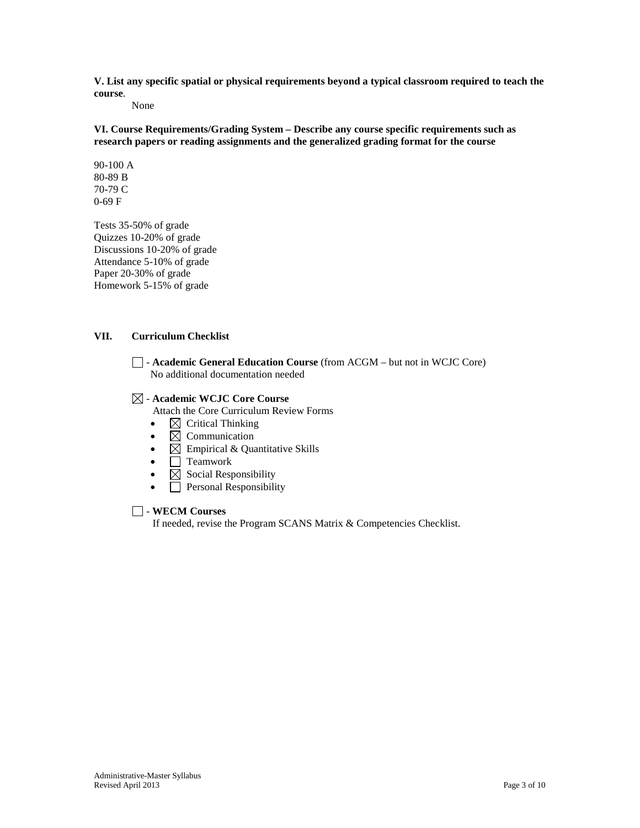**V. List any specific spatial or physical requirements beyond a typical classroom required to teach the course**.

None

**VI. Course Requirements/Grading System – Describe any course specific requirements such as research papers or reading assignments and the generalized grading format for the course**

90-100 A 80-89 B 70-79 C 0-69 F

Tests 35-50% of grade Quizzes 10-20% of grade Discussions 10-20% of grade Attendance 5-10% of grade Paper 20-30% of grade Homework 5-15% of grade

#### **VII. Curriculum Checklist**

- **Academic General Education Course** (from ACGM – but not in WCJC Core) No additional documentation needed

#### - **Academic WCJC Core Course**

Attach the Core Curriculum Review Forms

- $\boxtimes$  Critical Thinking
- $\boxtimes$  Communication
- $\boxtimes$  Empirical & Quantitative Skills
- $\bullet$   $\Box$  Teamwork
- $\boxtimes$  Social Responsibility
- **Personal Responsibility**

#### - **WECM Courses**

If needed, revise the Program SCANS Matrix & Competencies Checklist.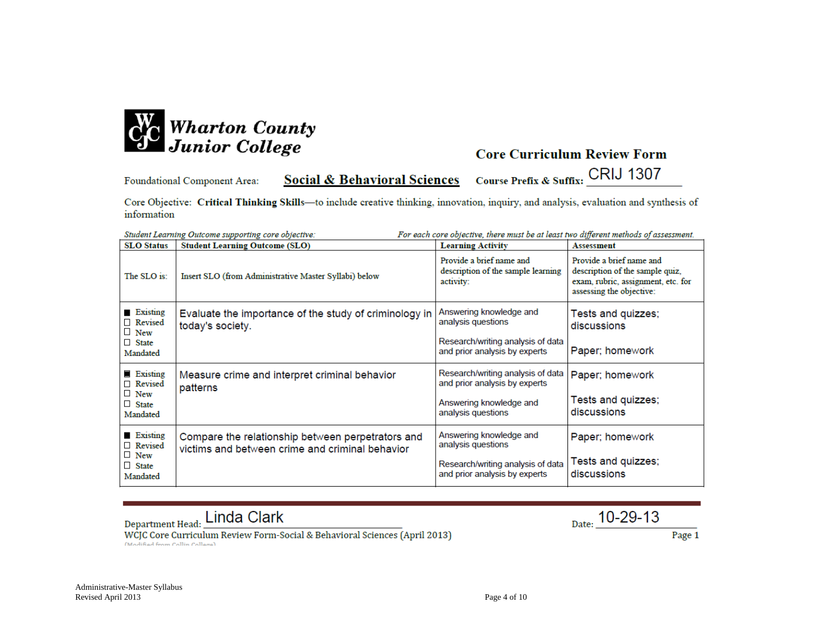

Course Prefix & Suffix: CRIJ 1307 **Social & Behavioral Sciences** Foundational Component Area:

Core Objective: Critical Thinking Skills-to include creative thinking, innovation, inquiry, and analysis, evaluation and synthesis of information

| For each core objective, there must be at least two different methods of assessment.<br>Student Learning Outcome supporting core objective: |                                                                                                      |                                                                                                                     |                                                                                                                               |
|---------------------------------------------------------------------------------------------------------------------------------------------|------------------------------------------------------------------------------------------------------|---------------------------------------------------------------------------------------------------------------------|-------------------------------------------------------------------------------------------------------------------------------|
| <b>SLO Status</b>                                                                                                                           | <b>Student Learning Outcome (SLO)</b>                                                                | <b>Learning Activity</b>                                                                                            | <b>Assessment</b>                                                                                                             |
| The SLO is:                                                                                                                                 | Insert SLO (from Administrative Master Syllabi) below                                                | Provide a brief name and<br>description of the sample learning<br>activity:                                         | Provide a brief name and<br>description of the sample quiz,<br>exam, rubric, assignment, etc. for<br>assessing the objective: |
| Existing<br>Revised<br>$\Box$ New<br>$\Box$ State<br>Mandated                                                                               | Evaluate the importance of the study of criminology in<br>today's society.                           | Answering knowledge and<br>analysis questions<br>Research/writing analysis of data<br>and prior analysis by experts | Tests and quizzes;<br>discussions<br>Paper; homework                                                                          |
| <b>Existing</b><br>□ Revised<br>$\Box$ New<br>$\Box$ State<br>Mandated                                                                      | Measure crime and interpret criminal behavior<br>patterns                                            | Research/writing analysis of data<br>and prior analysis by experts<br>Answering knowledge and<br>analysis questions | Paper; homework<br>Tests and quizzes;<br>discussions                                                                          |
| Existing<br>□ Revised<br>$\Box$ New<br>$\Box$ State<br>Mandated                                                                             | Compare the relationship between perpetrators and<br>victims and between crime and criminal behavior | Answering knowledge and<br>analysis questions<br>Research/writing analysis of data<br>and prior analysis by experts | Paper; homework<br>Tests and quizzes;<br>discussions                                                                          |

Department Head: Linda Clark

 $_{\text{Date:}}$  10-29-13

WCJC Core Curriculum Review Form-Social & Behavioral Sciences (April 2013) (Modified from Collin College)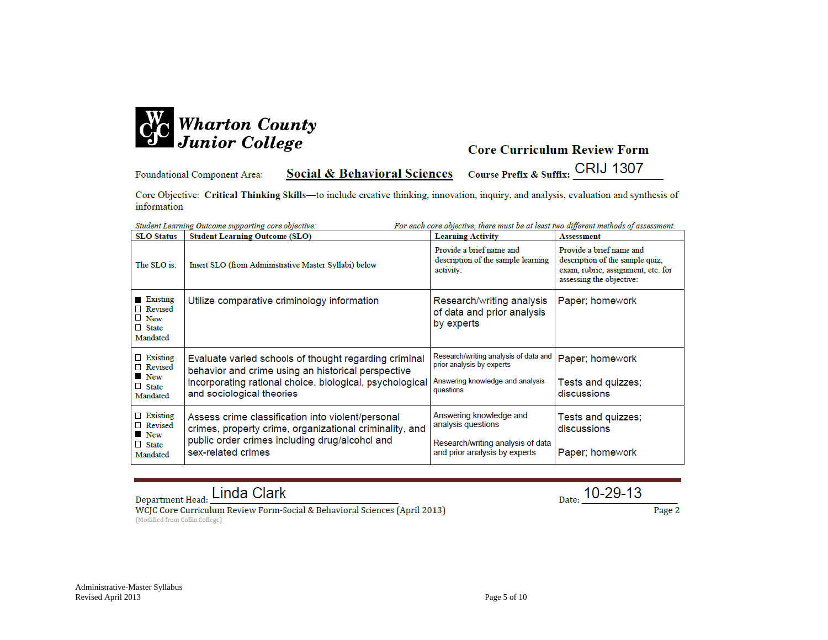

**Social & Behavioral Sciences** Foundational Component Area:

Course Prefix & Suffix: CRIJ 1307

Core Objective: Critical Thinking Skills-to include creative thinking, innovation, inquiry, and analysis, evaluation and synthesis of information

| Student Learning Outcome supporting core objective:<br>For each core objective, there must be at least two different methods of assessment. |                                                                                                                                                                                                      |                                                                                                                     |                                                                                                                               |
|---------------------------------------------------------------------------------------------------------------------------------------------|------------------------------------------------------------------------------------------------------------------------------------------------------------------------------------------------------|---------------------------------------------------------------------------------------------------------------------|-------------------------------------------------------------------------------------------------------------------------------|
| <b>SLO</b> Status                                                                                                                           | <b>Student Learning Outcome (SLO)</b>                                                                                                                                                                | <b>Learning Activity</b>                                                                                            | <b>Assessment</b>                                                                                                             |
| The SLO is:                                                                                                                                 | Insert SLO (from Administrative Master Syllabi) below                                                                                                                                                | Provide a brief name and<br>description of the sample learning<br>activity:                                         | Provide a brief name and<br>description of the sample quiz,<br>exam, rubric, assignment, etc. for<br>assessing the objective: |
| Existing<br>Revised<br>$\Box$ New<br>$\Box$ State<br>Mandated                                                                               | Utilize comparative criminology information                                                                                                                                                          | Research/writing analysis<br>of data and prior analysis<br>by experts                                               | Paper; homework                                                                                                               |
| Existing<br>Revised<br><b>New</b><br>$\Box$ State<br>Mandated                                                                               | Evaluate varied schools of thought regarding criminal<br>behavior and crime using an historical perspective<br>incorporating rational choice, biological, psychological<br>and sociological theories | Research/writing analysis of data and<br>prior analysis by experts<br>Answering knowledge and analysis<br>questions | Paper; homework<br>Tests and quizzes;<br>discussions                                                                          |
| $\Box$ Existing<br>Revised<br><b>New</b><br>$\Box$ State<br>Mandated                                                                        | Assess crime classification into violent/personal<br>crimes, property crime, organizational criminality, and<br>public order crimes including drug/alcohol and<br>sex-related crimes                 | Answering knowledge and<br>analysis questions<br>Research/writing analysis of data<br>and prior analysis by experts | Tests and quizzes;<br>discussions<br>Paper; homework                                                                          |

Department Head: Linda Clark

 $_{\text{Date:}}$  10-29-13

WCJC Core Curriculum Review Form-Social & Behavioral Sciences (April 2013) (Modified from Collin College)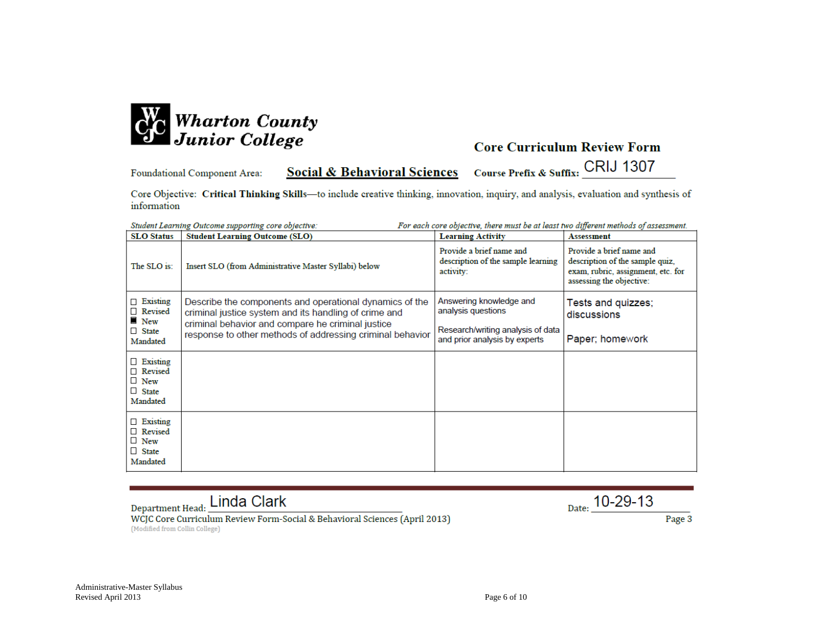

**Social & Behavioral Sciences** Foundational Component Area:

Course Prefix & Suffix: CRIJ 1307

Core Objective: Critical Thinking Skills-to include creative thinking, innovation, inquiry, and analysis, evaluation and synthesis of information

| For each core objective, there must be at least two different methods of assessment.<br>Student Learning Outcome supporting core objective: |                                                                                                                                                                                                                                    |                                                                                                                     |                                                                                                                               |
|---------------------------------------------------------------------------------------------------------------------------------------------|------------------------------------------------------------------------------------------------------------------------------------------------------------------------------------------------------------------------------------|---------------------------------------------------------------------------------------------------------------------|-------------------------------------------------------------------------------------------------------------------------------|
| <b>SLO Status</b>                                                                                                                           | <b>Student Learning Outcome (SLO)</b>                                                                                                                                                                                              | <b>Learning Activity</b>                                                                                            | <b>Assessment</b>                                                                                                             |
| The SLO is:                                                                                                                                 | Insert SLO (from Administrative Master Syllabi) below                                                                                                                                                                              | Provide a brief name and<br>description of the sample learning<br>activity:                                         | Provide a brief name and<br>description of the sample quiz,<br>exam, rubric, assignment, etc. for<br>assessing the objective: |
| $\Box$ Existing<br>Revised<br>$\blacksquare$ New<br>$\Box$ State<br>Mandated                                                                | Describe the components and operational dynamics of the<br>criminal justice system and its handling of crime and<br>criminal behavior and compare he criminal justice<br>response to other methods of addressing criminal behavior | Answering knowledge and<br>analysis questions<br>Research/writing analysis of data<br>and prior analysis by experts | Tests and quizzes;<br>discussions<br>Paper; homework                                                                          |
| $\Box$ Existing<br>Revised<br>$\Box$ New<br>$\Box$ State<br>Mandated                                                                        |                                                                                                                                                                                                                                    |                                                                                                                     |                                                                                                                               |
| $\Box$ Existing<br>Revised<br>$\Box$ New<br>$\Box$ State<br>Mandated                                                                        |                                                                                                                                                                                                                                    |                                                                                                                     |                                                                                                                               |

Department Head: Linda Clark

 $_{\text{Date:}}$  10-29-13

WCJC Core Curriculum Review Form-Social & Behavioral Sciences (April 2013) (Modified from Collin College)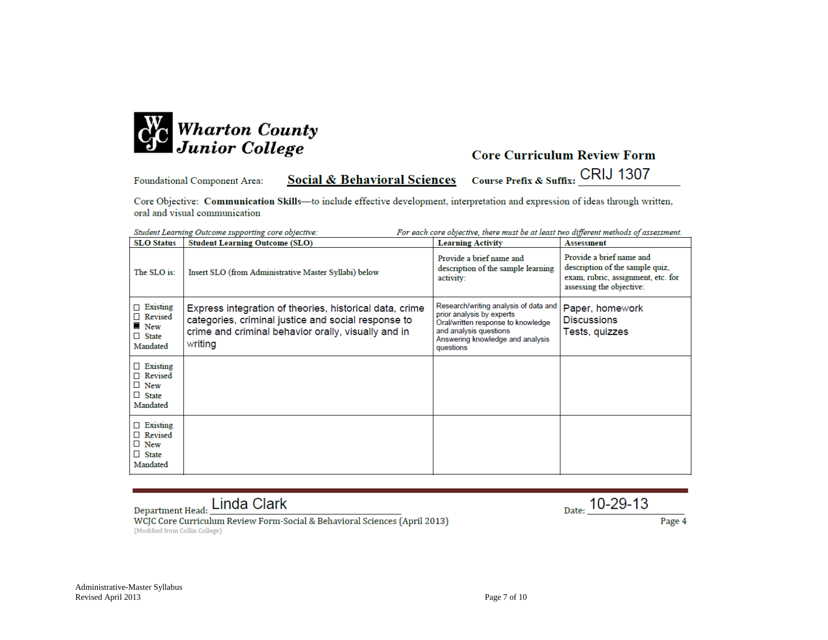

Student Learning Outcome symparting care objective

# **Core Curriculum Review Form**

Course Prefix & Suffix: CRIJ 1307 **Social & Behavioral Sciences** Foundational Component Area:

Core Objective: Communication Skills-to include effective development, interpretation and expression of ideas through written, oral and visual communication

| <b>SLO Status</b>                                                              | <b>Student Learning Outcome (SLO)</b>                                                                                                                                            | <b>Learning Activity</b>                                                                                                                                                            | <b>Assessment</b>                                                                                                             |
|--------------------------------------------------------------------------------|----------------------------------------------------------------------------------------------------------------------------------------------------------------------------------|-------------------------------------------------------------------------------------------------------------------------------------------------------------------------------------|-------------------------------------------------------------------------------------------------------------------------------|
| The SLO is:                                                                    | Insert SLO (from Administrative Master Syllabi) below                                                                                                                            | Provide a brief name and<br>description of the sample learning<br>activity:                                                                                                         | Provide a brief name and<br>description of the sample quiz,<br>exam, rubric, assignment, etc. for<br>assessing the objective: |
| $\Box$ Existing<br>□ Revised<br>$\blacksquare$ New<br>$\Box$ State<br>Mandated | Express integration of theories, historical data, crime<br>categories, criminal justice and social response to<br>crime and criminal behavior orally, visually and in<br>writing | Research/writing analysis of data and<br>prior analysis by experts<br>Oral/written response to knowledge<br>and analysis questions<br>Answering knowledge and analysis<br>questions | Paper, homework<br><b>Discussions</b><br>Tests, quizzes                                                                       |
| $\Box$ Existing<br>Revised<br>$\Box$ New<br>$\Box$ State<br>Mandated           |                                                                                                                                                                                  |                                                                                                                                                                                     |                                                                                                                               |
| $\Box$ Existing<br>$\Box$ Revised<br>$\Box$ New<br>$\Box$ State<br>Mandated    |                                                                                                                                                                                  |                                                                                                                                                                                     |                                                                                                                               |

For each care objective, there must be at least two different methods of assessment

# Department Head: Linda Clark

 $_{\text{Date:}}$  10-29-13

WCJC Core Curriculum Review Form-Social & Behavioral Sciences (April 2013) (Modified from Collin College)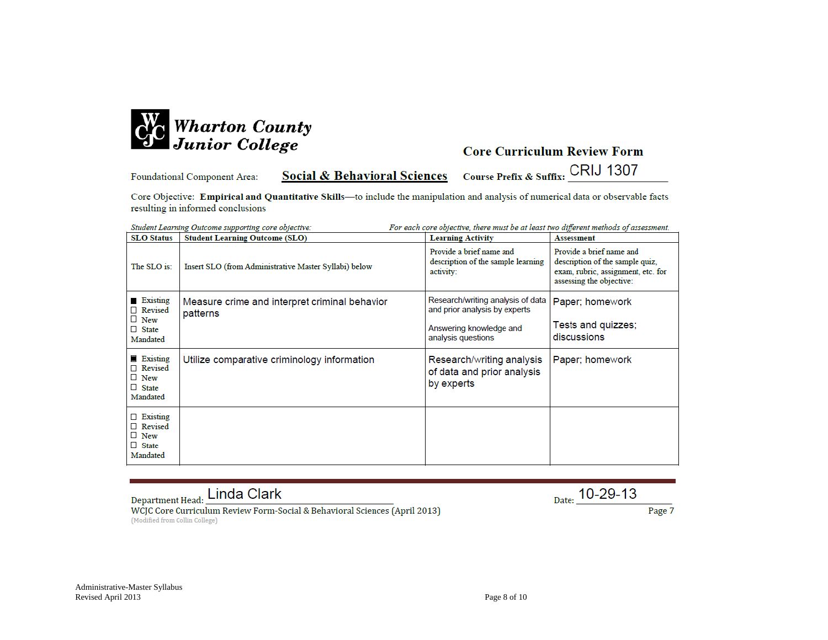

**Social & Behavioral Sciences** Foundational Component Area:

Course Prefix & Suffix: CRIJ 1307

Core Objective: Empirical and Quantitative Skills-to include the manipulation and analysis of numerical data or observable facts resulting in informed conclusions

| Student Learning Outcome supporting core objective:<br>For each core objective, there must be at least two different methods of assessment. |                                                           |                                                                             |                                                                                                                               |
|---------------------------------------------------------------------------------------------------------------------------------------------|-----------------------------------------------------------|-----------------------------------------------------------------------------|-------------------------------------------------------------------------------------------------------------------------------|
| <b>SLO</b> Status                                                                                                                           | <b>Student Learning Outcome (SLO)</b>                     | <b>Learning Activity</b>                                                    | <b>Assessment</b>                                                                                                             |
| The SLO is:                                                                                                                                 | Insert SLO (from Administrative Master Syllabi) below     | Provide a brief name and<br>description of the sample learning<br>activity: | Provide a brief name and<br>description of the sample quiz.<br>exam, rubric, assignment, etc. for<br>assessing the objective: |
| <b>Existing</b><br>□ Revised                                                                                                                | Measure crime and interpret criminal behavior<br>patterns | Research/writing analysis of data<br>and prior analysis by experts          | Paper; homework                                                                                                               |
| $\Box$ New<br>$\Box$ State<br>Mandated                                                                                                      |                                                           | Answering knowledge and<br>analysis questions                               | Tests and quizzes;<br>discussions                                                                                             |
| <b>Existing</b><br>□ Revised<br>$\Box$ New<br>$\Box$ State<br>Mandated                                                                      | Utilize comparative criminology information               | Research/writing analysis<br>of data and prior analysis<br>by experts       | Paper; homework                                                                                                               |
| $\Box$ Existing<br>□ Revised<br>$\Box$ New<br>$\Box$ State<br>Mandated                                                                      |                                                           |                                                                             |                                                                                                                               |

Department Head: Linda Clark

 $_{\text{Date:}}$  10-29-13

WCJC Core Curriculum Review Form-Social & Behavioral Sciences (April 2013) (Modified from Collin College)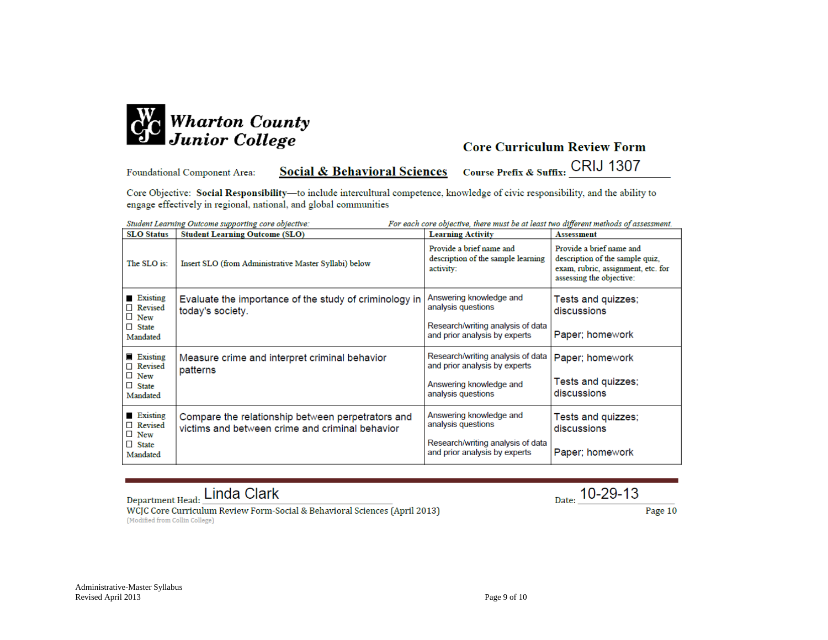

### **Core Curriculum Review Form**

**Social & Behavioral Sciences** Foundational Component Area:

Course Prefix & Suffix: CRIJ 1307

Core Objective: Social Responsibility-to include intercultural competence, knowledge of civic responsibility, and the ability to engage effectively in regional, national, and global communities  $\overline{a}$ 

| Student Learning Outcome supporting core objective:<br>For each core objective, there must be at least two different methods of assessment. |                                                                                                      |                                                                                                                     |                                                                                                                               |
|---------------------------------------------------------------------------------------------------------------------------------------------|------------------------------------------------------------------------------------------------------|---------------------------------------------------------------------------------------------------------------------|-------------------------------------------------------------------------------------------------------------------------------|
| <b>SLO</b> Status                                                                                                                           | <b>Student Learning Outcome (SLO)</b>                                                                | <b>Learning Activity</b>                                                                                            | <b>Assessment</b>                                                                                                             |
| The SLO is:                                                                                                                                 | Insert SLO (from Administrative Master Syllabi) below                                                | Provide a brief name and<br>description of the sample learning<br>activity:                                         | Provide a brief name and<br>description of the sample quiz,<br>exam, rubric, assignment, etc. for<br>assessing the objective: |
| <b>Existing</b><br>Revised<br>$\Box$ New<br>$\Box$ State<br>Mandated                                                                        | Evaluate the importance of the study of criminology in<br>today's society.                           | Answering knowledge and<br>analysis questions<br>Research/writing analysis of data<br>and prior analysis by experts | Tests and quizzes;<br>discussions<br>Paper; homework                                                                          |
| <b>Existing</b><br>□ Revised<br>$\Box$ New<br>$\Box$ State<br>Mandated                                                                      | Measure crime and interpret criminal behavior<br>patterns                                            | Research/writing analysis of data<br>and prior analysis by experts<br>Answering knowledge and<br>analysis questions | Paper; homework<br>Tests and quizzes;<br>discussions                                                                          |
| Existing<br>Revised<br>$\Box$ New<br>$\Box$ State<br>Mandated                                                                               | Compare the relationship between perpetrators and<br>victims and between crime and criminal behavior | Answering knowledge and<br>analysis questions<br>Research/writing analysis of data<br>and prior analysis by experts | Tests and quizzes;<br>discussions<br>Paper; homework                                                                          |

Department Head: Linda Clark

WCJC Core Curriculum Review Form-Social & Behavioral Sciences (April 2013) (Modified from Collin College)

 $_{\text{Date:}}$  10-29-13